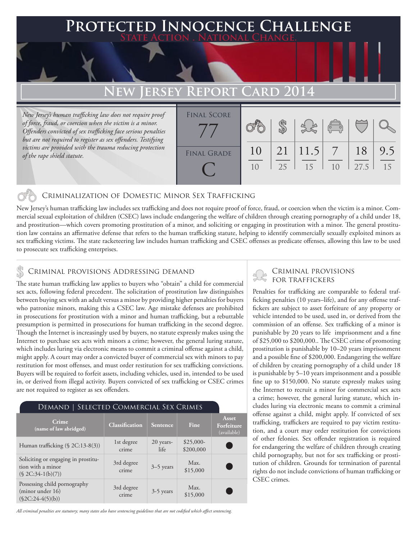### **PED INNOCENCE CHALLENGE State Action . National Change.**

## **New Jersey Report Card 2014**

*New Jersey's human trafficking law does not require proof of force, fraud, or coercion when the victim is a minor. Offenders convicted of sex trafficking face serious penalties but are not required to register as sex offenders. Testifying victims are provided with the trauma reducing protection of the rape shield statute.*

| <b>FINAL SCORE</b> |    |    |      |                              |      |     |
|--------------------|----|----|------|------------------------------|------|-----|
|                    |    |    |      |                              |      |     |
|                    |    |    |      | $\overset{\sim}{\leftarrow}$ |      |     |
|                    |    |    |      |                              |      |     |
|                    | 10 | 21 | 11.5 | $\sqrt{7}$                   | 18   | 9.5 |
| <b>FINAL GRADE</b> |    |    |      |                              |      |     |
|                    | 10 | 25 | 15   | 1 <sub>0</sub>               | 27.5 | 15  |
|                    |    |    |      |                              |      |     |
|                    |    |    |      |                              |      |     |

### Criminalization of Domestic Minor Sex Trafficking

New Jersey's human trafficking law includes sex trafficking and does not require proof of force, fraud, or coercion when the victim is a minor. Commercial sexual exploitation of children (CSEC) laws include endangering the welfare of children through creating pornography of a child under 18, and prostitution—which covers promoting prostitution of a minor, and soliciting or engaging in prostitution with a minor. The general prostitution law contains an affirmative defense that refers to the human trafficking statute, helping to identify commercially sexually exploited minors as sex trafficking victims. The state racketeering law includes human trafficking and CSEC offenses as predicate offenses, allowing this law to be used to prosecute sex trafficking enterprises.

### Criminal provisions Addressing demand

The state human trafficking law applies to buyers who "obtain" a child for commercial sex acts, following federal precedent. The solicitation of prostitution law distinguishes between buying sex with an adult versus a minor by providing higher penalties for buyers who patronize minors, making this a CSEC law. Age mistake defenses are prohibited in prosecutions for prostitution with a minor and human trafficking, but a rebuttable presumption is permitted in prosecutions for human trafficking in the second degree. Though the Internet is increasingly used by buyers, no statute expressly makes using the Internet to purchase sex acts with minors a crime; however, the general luring statute, which includes luring via electronic means to commit a criminal offense against a child, might apply. A court may order a convicted buyer of commercial sex with minors to pay restitution for most offenses, and must order restitution for sex trafficking convictions. Buyers will be required to forfeit assets, including vehicles, used in, intended to be used in, or derived from illegal activity. Buyers convicted of sex trafficking or CSEC crimes are not required to register as sex offenders.

| DEMAND   SELECTED COMMERCIAL SEX CRIMES                                         |                       |                   |                         |                                    |  |  |  |  |
|---------------------------------------------------------------------------------|-----------------------|-------------------|-------------------------|------------------------------------|--|--|--|--|
| Crime<br>(name of law abridged)                                                 | <b>Classification</b> | Sentence          | Fine                    | Asset<br>Forfeiture<br>(available) |  |  |  |  |
| Human trafficking $(\S$ 2C:13-8(3))                                             | 1st degree<br>crime   | 20 years-<br>life | $$25,000-$<br>\$200,000 |                                    |  |  |  |  |
| Soliciting or engaging in prostitu-<br>tion with a minor<br>$(S 2C:34-1(b)(7))$ | 3rd degree<br>crime   | $3-5$ years       | Max.<br>\$15,000        |                                    |  |  |  |  |
| Possessing child pornography<br>(minor under 16)<br>$(\$2C:24-4(5)(b))$         | 3rd degree<br>crime   | 3-5 years         | Max.<br>\$15,000        |                                    |  |  |  |  |

*All criminal penalties are statutory; many states also have sentencing guidelines that are not codified which affect sentencing.* 

# Criminal provisions

Penalties for trafficking are comparable to federal trafficking penalties (10 years–life), and for any offense traffickers are subject to asset forfeiture of any property or vehicle intended to be used, used in, or derived from the commission of an offense. Sex trafficking of a minor is punishable by 20 years to life imprisonment and a fine of \$25,000 to \$200,000.. The CSEC crime of promoting prostitution is punishable by 10–20 years imprisonment and a possible fine of \$200,000. Endangering the welfare of children by creating pornography of a child under 18 is punishable by 5–10 years imprisonment and a possible fine up to \$150,000. No statute expressly makes using the Internet to recruit a minor for commercial sex acts a crime; however, the general luring statute, which includes luring via electronic means to commit a criminal offense against a child, might apply. If convicted of sex trafficking, traffickers are required to pay victim restitution, and a court may order restitution for convictions of other felonies. Sex offender registration is required for endangering the welfare of children through creating child pornography, but not for sex trafficking or prostitution of children. Grounds for termination of parental rights do not include convictions of human trafficking or CSEC crimes.